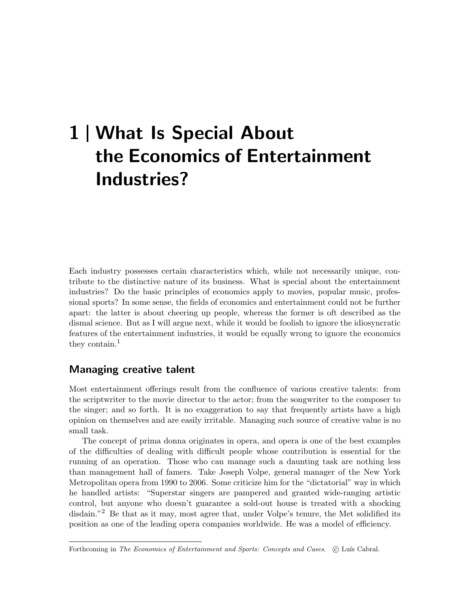# 1 What Is Special About the Economics of Entertainment Industries?

Each industry possesses certain characteristics which, while not necessarily unique, contribute to the distinctive nature of its business. What is special about the entertainment industries? Do the basic principles of economics apply to movies, popular music, professional sports? In some sense, the fields of economics and entertainment could not be further apart: the latter is about cheering up people, whereas the former is oft described as the dismal science. But as I will argue next, while it would be foolish to ignore the idiosyncratic features of the entertainment industries, it would be equally wrong to ignore the economics they contain.<sup>1</sup>

## Managing creative talent

Most entertainment offerings result from the confluence of various creative talents: from the scriptwriter to the movie director to the actor; from the songwriter to the composer to the singer; and so forth. It is no exaggeration to say that frequently artists have a high opinion on themselves and are easily irritable. Managing such source of creative value is no small task.

The concept of prima donna originates in opera, and opera is one of the best examples of the difficulties of dealing with difficult people whose contribution is essential for the running of an operation. Those who can manage such a daunting task are nothing less than management hall of famers. Take Joseph Volpe, general manager of the New York Metropolitan opera from 1990 to 2006. Some criticize him for the "dictatorial" way in which he handled artists: "Superstar singers are pampered and granted wide-ranging artistic control, but anyone who doesn't guarantee a sold-out house is treated with a shocking disdain."<sup>2</sup> Be that as it may, most agree that, under Volpe's tenure, the Met solidified its position as one of the leading opera companies worldwide. He was a model of efficiency.

Forthcoming in The Economics of Entertainment and Sports: Concepts and Cases. (C) Luís Cabral.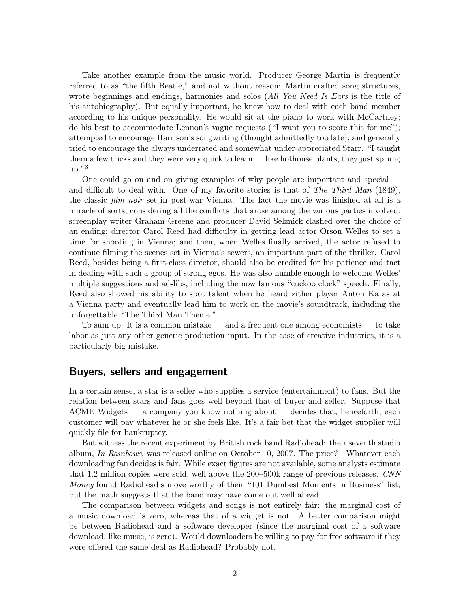Take another example from the music world. Producer George Martin is frequently referred to as "the fifth Beatle," and not without reason: Martin crafted song structures, wrote beginnings and endings, harmonies and solos (All You Need Is Ears is the title of his autobiography). But equally important, he knew how to deal with each band member according to his unique personality. He would sit at the piano to work with McCartney; do his best to accommodate Lennon's vague requests ("I want you to score this for me"); attempted to encourage Harrison's songwriting (thought admittedly too late); and generally tried to encourage the always underrated and somewhat under-appreciated Starr. "I taught them a few tricks and they were very quick to learn — like hothouse plants, they just sprung  $up.^{"3}$ 

One could go on and on giving examples of why people are important and special and difficult to deal with. One of my favorite stories is that of The Third Man  $(1849)$ , the classic *film noir* set in post-war Vienna. The fact the movie was finished at all is a miracle of sorts, considering all the conflicts that arose among the various parties involved: screenplay writer Graham Greene and producer David Selznick clashed over the choice of an ending; director Carol Reed had difficulty in getting lead actor Orson Welles to set a time for shooting in Vienna; and then, when Welles finally arrived, the actor refused to continue filming the scenes set in Vienna's sewers, an important part of the thriller. Carol Reed, besides being a first-class director, should also be credited for his patience and tact in dealing with such a group of strong egos. He was also humble enough to welcome Welles' multiple suggestions and ad-libs, including the now famous "cuckoo clock" speech. Finally, Reed also showed his ability to spot talent when he heard zither player Anton Karas at a Vienna party and eventually lead him to work on the movie's soundtrack, including the unforgettable "The Third Man Theme."

To sum up: It is a common mistake — and a frequent one among economists — to take labor as just any other generic production input. In the case of creative industries, it is a particularly big mistake.

#### Buyers, sellers and engagement

In a certain sense, a star is a seller who supplies a service (entertainment) to fans. But the relation between stars and fans goes well beyond that of buyer and seller. Suppose that ACME Widgets — a company you know nothing about — decides that, henceforth, each customer will pay whatever he or she feels like. It's a fair bet that the widget supplier will quickly file for bankruptcy.

But witness the recent experiment by British rock band Radiohead: their seventh studio album, In Rainbows, was released online on October 10, 2007. The price?—Whatever each downloading fan decides is fair. While exact figures are not available, some analysts estimate that 1.2 million copies were sold, well above the 200–500k range of previous releases. CNN Money found Radiohead's move worthy of their "101 Dumbest Moments in Business" list, but the math suggests that the band may have come out well ahead.

The comparison between widgets and songs is not entirely fair: the marginal cost of a music download is zero, whereas that of a widget is not. A better comparison might be between Radiohead and a software developer (since the marginal cost of a software download, like music, is zero). Would downloaders be willing to pay for free software if they were offered the same deal as Radiohead? Probably not.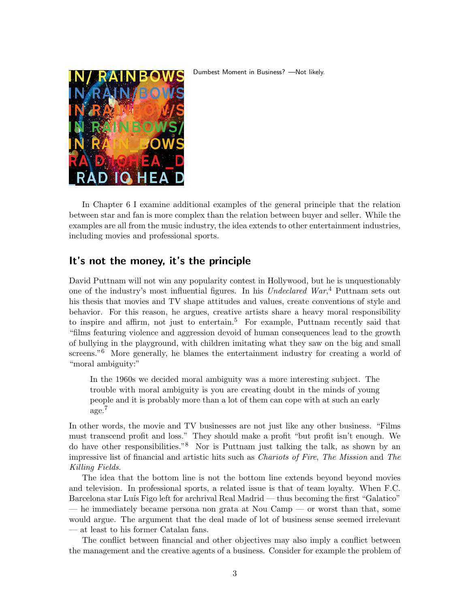#### Dumbest Moment in Business? —Not likely.



In Chapter 6 I examine additional examples of the general principle that the relation between star and fan is more complex than the relation between buyer and seller. While the examples are all from the music industry, the idea extends to other entertainment industries, including movies and professional sports.

## It's not the money, it's the principle

David Puttnam will not win any popularity contest in Hollywood, but he is unquestionably one of the industry's most influential figures. In his Undeclared War,<sup>4</sup> Puttnam sets out his thesis that movies and TV shape attitudes and values, create conventions of style and behavior. For this reason, he argues, creative artists share a heavy moral responsibility to inspire and affirm, not just to entertain.<sup>5</sup> For example, Puttnam recently said that "films featuring violence and aggression devoid of human consequences lead to the growth of bullying in the playground, with children imitating what they saw on the big and small screens."<sup>6</sup> More generally, he blames the entertainment industry for creating a world of "moral ambiguity:"

In the 1960s we decided moral ambiguity was a more interesting subject. The trouble with moral ambiguity is you are creating doubt in the minds of young people and it is probably more than a lot of them can cope with at such an early age.<sup>7</sup>

In other words, the movie and TV businesses are not just like any other business. "Films must transcend profit and loss." They should make a profit "but profit isn't enough. We do have other responsibilities."<sup>8</sup> Nor is Puttnam just talking the talk, as shown by an impressive list of financial and artistic hits such as Chariots of Fire, The Mission and The Killing Fields.

The idea that the bottom line is not the bottom line extends beyond beyond movies and television. In professional sports, a related issue is that of team loyalty. When F.C. Barcelona star Luís Figo left for archrival Real Madrid — thus becoming the first "Galatico" — he immediately became persona non grata at Nou Camp — or worst than that, some would argue. The argument that the deal made of lot of business sense seemed irrelevant — at least to his former Catalan fans.

The conflict between financial and other objectives may also imply a conflict between the management and the creative agents of a business. Consider for example the problem of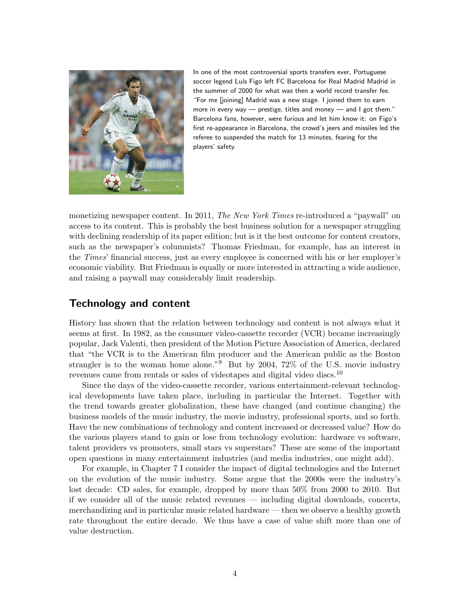

In one of the most controversial sports transfers ever, Portuguese soccer legend Luís Figo left FC Barcelona for Real Madrid Madrid in the summer of 2000 for what was then a world record transfer fee. "For me [joining] Madrid was a new stage. I joined them to earn more in every way — prestige, titles and money — and I got them." Barcelona fans, however, were furious and let him know it: on Figo's first re-appearance in Barcelona, the crowd's jeers and missiles led the referee to suspended the match for 13 minutes, fearing for the players' safety.

monetizing newspaper content. In 2011, The New York Times re-introduced a "paywall" on access to its content. This is probably the best business solution for a newspaper struggling with declining readership of its paper edition; but is it the best outcome for content creators, such as the newspaper's columnists? Thomas Friedman, for example, has an interest in the Times' financial success, just as every employee is concerned with his or her employer's economic viability. But Friedman is equally or more interested in attracting a wide audience, and raising a paywall may considerably limit readership.

# Technology and content

History has shown that the relation between technology and content is not always what it seems at first. In 1982, as the consumer video-cassette recorder (VCR) became increasingly popular, Jack Valenti, then president of the Motion Picture Association of America, declared that "the VCR is to the American film producer and the American public as the Boston strangler is to the woman home alone." $9$  But by 2004, 72% of the U.S. movie industry revenues came from rentals or sales of videotapes and digital video discs.<sup>10</sup>

Since the days of the video-cassette recorder, various entertainment-relevant technological developments have taken place, including in particular the Internet. Together with the trend towards greater globalization, these have changed (and continue changing) the business models of the music industry, the movie industry, professional sports, and so forth. Have the new combinations of technology and content increased or decreased value? How do the various players stand to gain or lose from technology evolution: hardware vs software, talent providers vs promoters, small stars vs superstars? These are some of the important open questions in many entertainment industries (and media industries, one might add).

For example, in Chapter 7 I consider the impact of digital technologies and the Internet on the evolution of the music industry. Some argue that the 2000s were the industry's lost decade: CD sales, for example, dropped by more than 50% from 2000 to 2010. But if we consider all of the music related revenues — including digital downloads, concerts, merchandizing and in particular music related hardware — then we observe a healthy growth rate throughout the entire decade. We thus have a case of value shift more than one of value destruction.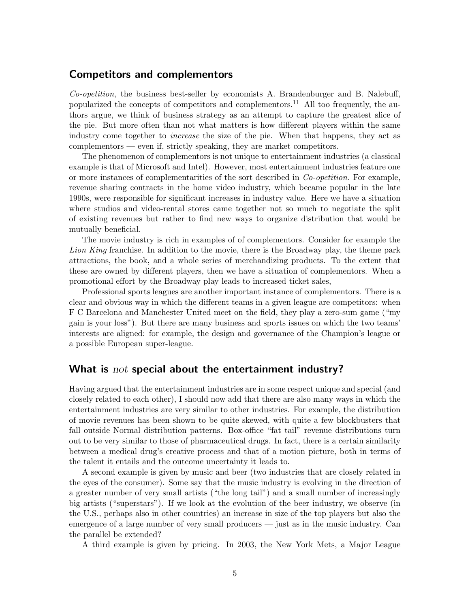#### Competitors and complementors

Co-opetition, the business best-seller by economists A. Brandenburger and B. Nalebuff, popularized the concepts of competitors and complementors.<sup>11</sup> All too frequently, the authors argue, we think of business strategy as an attempt to capture the greatest slice of the pie. But more often than not what matters is how different players within the same industry come together to increase the size of the pie. When that happens, they act as complementors — even if, strictly speaking, they are market competitors.

The phenomenon of complementors is not unique to entertainment industries (a classical example is that of Microsoft and Intel). However, most entertainment industries feature one or more instances of complementarities of the sort described in Co-opetition. For example, revenue sharing contracts in the home video industry, which became popular in the late 1990s, were responsible for significant increases in industry value. Here we have a situation where studios and video-rental stores came together not so much to negotiate the split of existing revenues but rather to find new ways to organize distribution that would be mutually beneficial.

The movie industry is rich in examples of of complementors. Consider for example the Lion King franchise. In addition to the movie, there is the Broadway play, the theme park attractions, the book, and a whole series of merchandizing products. To the extent that these are owned by different players, then we have a situation of complementors. When a promotional effort by the Broadway play leads to increased ticket sales,

Professional sports leagues are another important instance of complementors. There is a clear and obvious way in which the different teams in a given league are competitors: when F C Barcelona and Manchester United meet on the field, they play a zero-sum game ("my gain is your loss"). But there are many business and sports issues on which the two teams' interests are aligned: for example, the design and governance of the Champion's league or a possible European super-league.

### What is  $not$  special about the entertainment industry?

Having argued that the entertainment industries are in some respect unique and special (and closely related to each other), I should now add that there are also many ways in which the entertainment industries are very similar to other industries. For example, the distribution of movie revenues has been shown to be quite skewed, with quite a few blockbusters that fall outside Normal distribution patterns. Box-office "fat tail" revenue distributions turn out to be very similar to those of pharmaceutical drugs. In fact, there is a certain similarity between a medical drug's creative process and that of a motion picture, both in terms of the talent it entails and the outcome uncertainty it leads to.

A second example is given by music and beer (two industries that are closely related in the eyes of the consumer). Some say that the music industry is evolving in the direction of a greater number of very small artists ("the long tail") and a small number of increasingly big artists ("superstars"). If we look at the evolution of the beer industry, we observe (in the U.S., perhaps also in other countries) an increase in size of the top players but also the emergence of a large number of very small producers — just as in the music industry. Can the parallel be extended?

A third example is given by pricing. In 2003, the New York Mets, a Major League